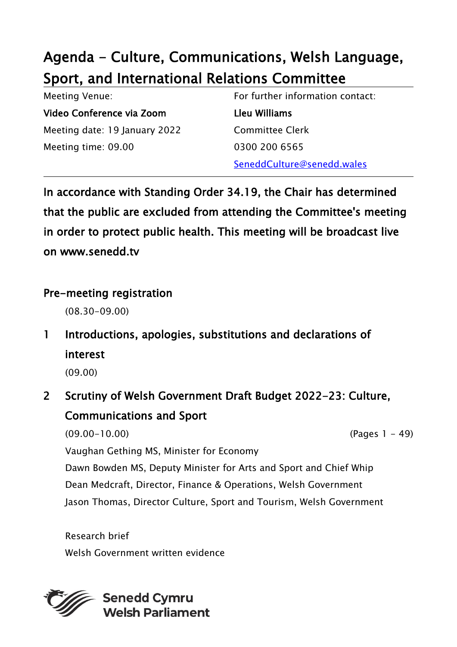# Agenda - Culture, Communications, Welsh Language, Sport, and International Relations Committee

| <b>Meeting Venue:</b>         | For further information contact: |
|-------------------------------|----------------------------------|
| Video Conference via Zoom     | Lleu Williams                    |
| Meeting date: 19 January 2022 | <b>Committee Clerk</b>           |
| Meeting time: 09.00           | 0300 200 6565                    |
|                               | SeneddCulture@senedd.wales       |

In accordance with Standing Order 34.19, the Chair has determined that the public are excluded from attending the Committee's meeting in order to protect public health. This meeting will be broadcast live on www.senedd.tv

#### Pre-meeting registration

(08.30-09.00)

1 Introductions, apologies, substitutions and declarations of interest

(09.00)

## 2 Scrutiny of Welsh Government Draft Budget 2022-23: Culture, Communications and Sport

(09.00-10.00) (Pages 1 - 49) Vaughan Gething MS, Minister for Economy Dawn Bowden MS, Deputy Minister for Arts and Sport and Chief Whip Dean Medcraft, Director, Finance & Operations, Welsh Government Jason Thomas, Director Culture, Sport and Tourism, Welsh Government

Research brief Welsh Government written evidence

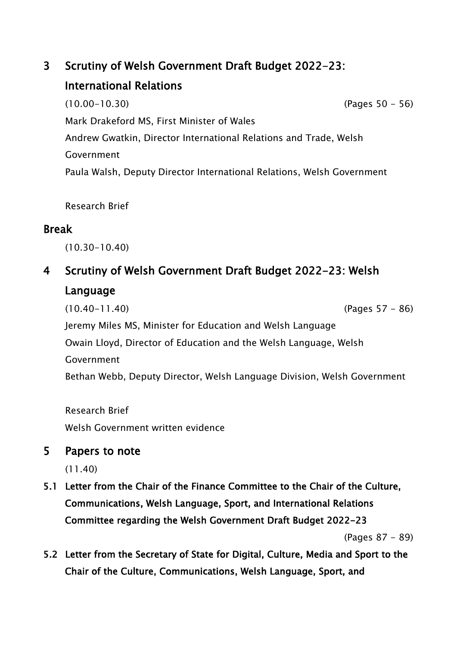### 3 Scrutiny of Welsh Government Draft Budget 2022-23: International Relations

(10.00-10.30) (Pages 50 - 56) Mark Drakeford MS, First Minister of Wales Andrew Gwatkin, Director International Relations and Trade, Welsh Government Paula Walsh, Deputy Director International Relations, Welsh Government

Research Brief

#### Break

(10.30-10.40)

### 4 Scrutiny of Welsh Government Draft Budget 2022-23: Welsh Language

(10.40-11.40) (Pages 57 - 86) Jeremy Miles MS, Minister for Education and Welsh Language Owain Lloyd, Director of Education and the Welsh Language, Welsh Government Bethan Webb, Deputy Director, Welsh Language Division, Welsh Government

Research Brief Welsh Government written evidence

#### 5 Papers to note

(11.40)

5.1 Letter from the Chair of the Finance Committee to the Chair of the Culture, Communications, Welsh Language, Sport, and International Relations Committee regarding the Welsh Government Draft Budget 2022-23

(Pages 87 - 89)

5.2 Letter from the Secretary of State for Digital, Culture, Media and Sport to the Chair of the Culture, Communications, Welsh Language, Sport, and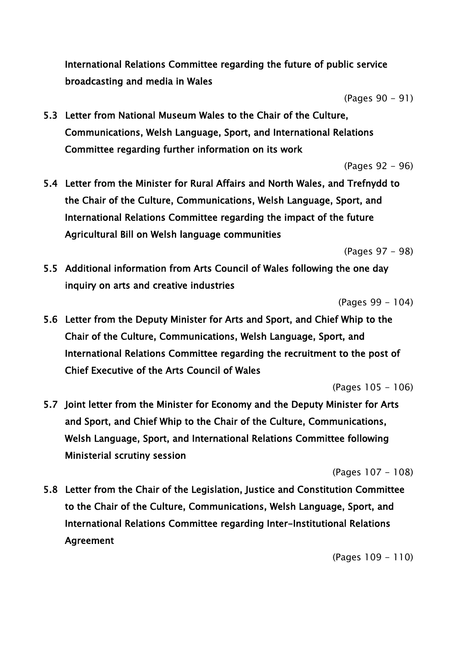International Relations Committee regarding the future of public service broadcasting and media in Wales

(Pages 90 - 91)

5.3 Letter from National Museum Wales to the Chair of the Culture, Communications, Welsh Language, Sport, and International Relations Committee regarding further information on its work

(Pages 92 - 96)

5.4 Letter from the Minister for Rural Affairs and North Wales, and Trefnydd to the Chair of the Culture, Communications, Welsh Language, Sport, and International Relations Committee regarding the impact of the future Agricultural Bill on Welsh language communities

(Pages 97 - 98)

5.5 Additional information from Arts Council of Wales following the one day inquiry on arts and creative industries

(Pages 99 - 104)

5.6 Letter from the Deputy Minister for Arts and Sport, and Chief Whip to the Chair of the Culture, Communications, Welsh Language, Sport, and International Relations Committee regarding the recruitment to the post of Chief Executive of the Arts Council of Wales

(Pages 105 - 106)

5.7 Joint letter from the Minister for Economy and the Deputy Minister for Arts and Sport, and Chief Whip to the Chair of the Culture, Communications, Welsh Language, Sport, and International Relations Committee following Ministerial scrutiny session

(Pages 107 - 108)

5.8 Letter from the Chair of the Legislation, Justice and Constitution Committee to the Chair of the Culture, Communications, Welsh Language, Sport, and International Relations Committee regarding Inter-Institutional Relations Agreement

(Pages 109 - 110)